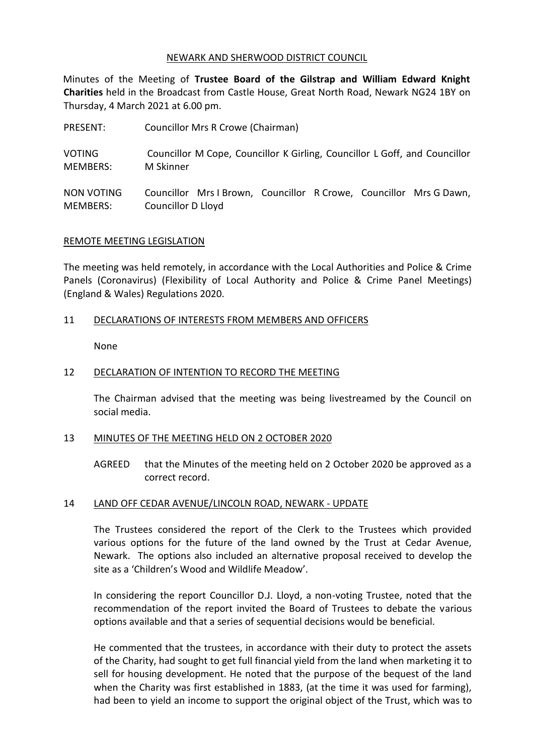### NEWARK AND SHERWOOD DISTRICT COUNCIL

Minutes of the Meeting of **Trustee Board of the Gilstrap and William Edward Knight Charities** held in the Broadcast from Castle House, Great North Road, Newark NG24 1BY on Thursday, 4 March 2021 at 6.00 pm.

| PRESENT:        | Councillor Mrs R Crowe (Chairman)                                          |
|-----------------|----------------------------------------------------------------------------|
| <b>VOTING</b>   | Councillor M Cope, Councillor K Girling, Councillor L Goff, and Councillor |
| <b>MEMBERS:</b> | M Skinner                                                                  |
| NON VOTING      | Councillor Mrs I Brown, Councillor R Crowe, Councillor Mrs G Dawn,         |
| MEMBERS:        | Councillor D Lloyd                                                         |

### REMOTE MEETING LEGISLATION

The meeting was held remotely, in accordance with the Local Authorities and Police & Crime Panels (Coronavirus) (Flexibility of Local Authority and Police & Crime Panel Meetings) (England & Wales) Regulations 2020.

# 11 DECLARATIONS OF INTERESTS FROM MEMBERS AND OFFICERS

None

### 12 DECLARATION OF INTENTION TO RECORD THE MEETING

The Chairman advised that the meeting was being livestreamed by the Council on social media.

#### 13 MINUTES OF THE MEETING HELD ON 2 OCTOBER 2020

AGREED that the Minutes of the meeting held on 2 October 2020 be approved as a correct record.

#### 14 LAND OFF CEDAR AVENUE/LINCOLN ROAD, NEWARK - UPDATE

The Trustees considered the report of the Clerk to the Trustees which provided various options for the future of the land owned by the Trust at Cedar Avenue, Newark. The options also included an alternative proposal received to develop the site as a 'Children's Wood and Wildlife Meadow'.

In considering the report Councillor D.J. Lloyd, a non-voting Trustee, noted that the recommendation of the report invited the Board of Trustees to debate the various options available and that a series of sequential decisions would be beneficial.

He commented that the trustees, in accordance with their duty to protect the assets of the Charity, had sought to get full financial yield from the land when marketing it to sell for housing development. He noted that the purpose of the bequest of the land when the Charity was first established in 1883, (at the time it was used for farming), had been to yield an income to support the original object of the Trust, which was to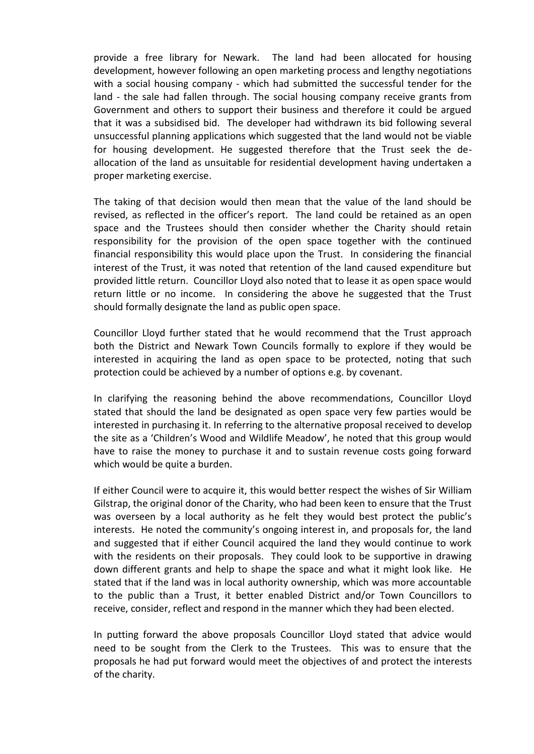provide a free library for Newark. The land had been allocated for housing development, however following an open marketing process and lengthy negotiations with a social housing company - which had submitted the successful tender for the land - the sale had fallen through. The social housing company receive grants from Government and others to support their business and therefore it could be argued that it was a subsidised bid. The developer had withdrawn its bid following several unsuccessful planning applications which suggested that the land would not be viable for housing development. He suggested therefore that the Trust seek the deallocation of the land as unsuitable for residential development having undertaken a proper marketing exercise.

The taking of that decision would then mean that the value of the land should be revised, as reflected in the officer's report. The land could be retained as an open space and the Trustees should then consider whether the Charity should retain responsibility for the provision of the open space together with the continued financial responsibility this would place upon the Trust. In considering the financial interest of the Trust, it was noted that retention of the land caused expenditure but provided little return. Councillor Lloyd also noted that to lease it as open space would return little or no income. In considering the above he suggested that the Trust should formally designate the land as public open space.

Councillor Lloyd further stated that he would recommend that the Trust approach both the District and Newark Town Councils formally to explore if they would be interested in acquiring the land as open space to be protected, noting that such protection could be achieved by a number of options e.g. by covenant.

In clarifying the reasoning behind the above recommendations, Councillor Lloyd stated that should the land be designated as open space very few parties would be interested in purchasing it. In referring to the alternative proposal received to develop the site as a 'Children's Wood and Wildlife Meadow', he noted that this group would have to raise the money to purchase it and to sustain revenue costs going forward which would be quite a burden.

If either Council were to acquire it, this would better respect the wishes of Sir William Gilstrap, the original donor of the Charity, who had been keen to ensure that the Trust was overseen by a local authority as he felt they would best protect the public's interests. He noted the community's ongoing interest in, and proposals for, the land and suggested that if either Council acquired the land they would continue to work with the residents on their proposals. They could look to be supportive in drawing down different grants and help to shape the space and what it might look like. He stated that if the land was in local authority ownership, which was more accountable to the public than a Trust, it better enabled District and/or Town Councillors to receive, consider, reflect and respond in the manner which they had been elected.

In putting forward the above proposals Councillor Lloyd stated that advice would need to be sought from the Clerk to the Trustees. This was to ensure that the proposals he had put forward would meet the objectives of and protect the interests of the charity.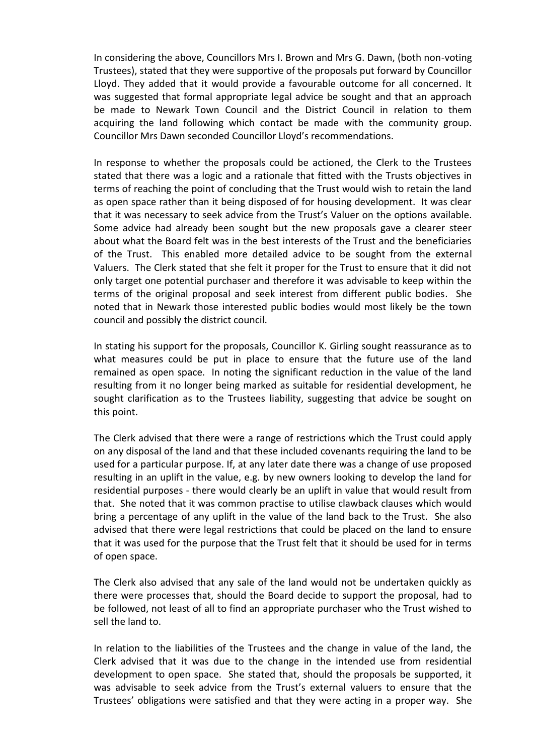In considering the above, Councillors Mrs I. Brown and Mrs G. Dawn, (both non-voting Trustees), stated that they were supportive of the proposals put forward by Councillor Lloyd. They added that it would provide a favourable outcome for all concerned. It was suggested that formal appropriate legal advice be sought and that an approach be made to Newark Town Council and the District Council in relation to them acquiring the land following which contact be made with the community group. Councillor Mrs Dawn seconded Councillor Lloyd's recommendations.

In response to whether the proposals could be actioned, the Clerk to the Trustees stated that there was a logic and a rationale that fitted with the Trusts objectives in terms of reaching the point of concluding that the Trust would wish to retain the land as open space rather than it being disposed of for housing development. It was clear that it was necessary to seek advice from the Trust's Valuer on the options available. Some advice had already been sought but the new proposals gave a clearer steer about what the Board felt was in the best interests of the Trust and the beneficiaries of the Trust. This enabled more detailed advice to be sought from the external Valuers. The Clerk stated that she felt it proper for the Trust to ensure that it did not only target one potential purchaser and therefore it was advisable to keep within the terms of the original proposal and seek interest from different public bodies. She noted that in Newark those interested public bodies would most likely be the town council and possibly the district council.

In stating his support for the proposals, Councillor K. Girling sought reassurance as to what measures could be put in place to ensure that the future use of the land remained as open space. In noting the significant reduction in the value of the land resulting from it no longer being marked as suitable for residential development, he sought clarification as to the Trustees liability, suggesting that advice be sought on this point.

The Clerk advised that there were a range of restrictions which the Trust could apply on any disposal of the land and that these included covenants requiring the land to be used for a particular purpose. If, at any later date there was a change of use proposed resulting in an uplift in the value, e.g. by new owners looking to develop the land for residential purposes - there would clearly be an uplift in value that would result from that. She noted that it was common practise to utilise clawback clauses which would bring a percentage of any uplift in the value of the land back to the Trust. She also advised that there were legal restrictions that could be placed on the land to ensure that it was used for the purpose that the Trust felt that it should be used for in terms of open space.

The Clerk also advised that any sale of the land would not be undertaken quickly as there were processes that, should the Board decide to support the proposal, had to be followed, not least of all to find an appropriate purchaser who the Trust wished to sell the land to.

In relation to the liabilities of the Trustees and the change in value of the land, the Clerk advised that it was due to the change in the intended use from residential development to open space. She stated that, should the proposals be supported, it was advisable to seek advice from the Trust's external valuers to ensure that the Trustees' obligations were satisfied and that they were acting in a proper way. She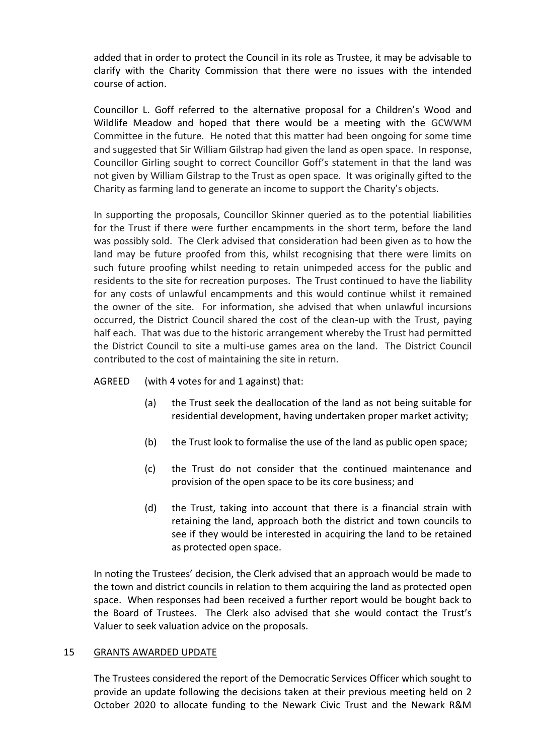added that in order to protect the Council in its role as Trustee, it may be advisable to clarify with the Charity Commission that there were no issues with the intended course of action.

Councillor L. Goff referred to the alternative proposal for a Children's Wood and Wildlife Meadow and hoped that there would be a meeting with the GCWWM Committee in the future. He noted that this matter had been ongoing for some time and suggested that Sir William Gilstrap had given the land as open space. In response, Councillor Girling sought to correct Councillor Goff's statement in that the land was not given by William Gilstrap to the Trust as open space. It was originally gifted to the Charity as farming land to generate an income to support the Charity's objects.

In supporting the proposals, Councillor Skinner queried as to the potential liabilities for the Trust if there were further encampments in the short term, before the land was possibly sold. The Clerk advised that consideration had been given as to how the land may be future proofed from this, whilst recognising that there were limits on such future proofing whilst needing to retain unimpeded access for the public and residents to the site for recreation purposes. The Trust continued to have the liability for any costs of unlawful encampments and this would continue whilst it remained the owner of the site. For information, she advised that when unlawful incursions occurred, the District Council shared the cost of the clean-up with the Trust, paying half each. That was due to the historic arrangement whereby the Trust had permitted the District Council to site a multi-use games area on the land. The District Council contributed to the cost of maintaining the site in return.

# AGREED (with 4 votes for and 1 against) that:

- (a) the Trust seek the deallocation of the land as not being suitable for residential development, having undertaken proper market activity;
- (b) the Trust look to formalise the use of the land as public open space;
- (c) the Trust do not consider that the continued maintenance and provision of the open space to be its core business; and
- (d) the Trust, taking into account that there is a financial strain with retaining the land, approach both the district and town councils to see if they would be interested in acquiring the land to be retained as protected open space.

In noting the Trustees' decision, the Clerk advised that an approach would be made to the town and district councils in relation to them acquiring the land as protected open space. When responses had been received a further report would be bought back to the Board of Trustees. The Clerk also advised that she would contact the Trust's Valuer to seek valuation advice on the proposals.

# 15 GRANTS AWARDED UPDATE

The Trustees considered the report of the Democratic Services Officer which sought to provide an update following the decisions taken at their previous meeting held on 2 October 2020 to allocate funding to the Newark Civic Trust and the Newark R&M